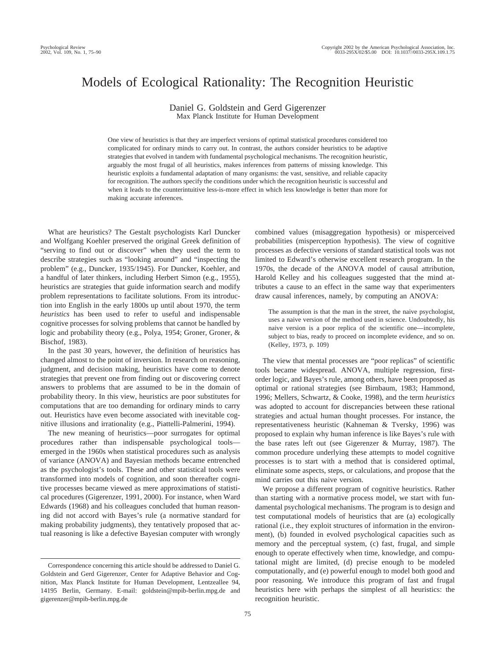# Models of Ecological Rationality: The Recognition Heuristic

Daniel G. Goldstein and Gerd Gigerenzer Max Planck Institute for Human Development

One view of heuristics is that they are imperfect versions of optimal statistical procedures considered too complicated for ordinary minds to carry out. In contrast, the authors consider heuristics to be adaptive strategies that evolved in tandem with fundamental psychological mechanisms. The recognition heuristic, arguably the most frugal of all heuristics, makes inferences from patterns of missing knowledge. This heuristic exploits a fundamental adaptation of many organisms: the vast, sensitive, and reliable capacity for recognition. The authors specify the conditions under which the recognition heuristic is successful and when it leads to the counterintuitive less-is-more effect in which less knowledge is better than more for making accurate inferences.

What are heuristics? The Gestalt psychologists Karl Duncker and Wolfgang Koehler preserved the original Greek definition of "serving to find out or discover" when they used the term to describe strategies such as "looking around" and "inspecting the problem" (e.g., Duncker, 1935/1945). For Duncker, Koehler, and a handful of later thinkers, including Herbert Simon (e.g., 1955), heuristics are strategies that guide information search and modify problem representations to facilitate solutions. From its introduction into English in the early 1800s up until about 1970, the term *heuristics* has been used to refer to useful and indispensable cognitive processes for solving problems that cannot be handled by logic and probability theory (e.g., Polya, 1954; Groner, Groner, & Bischof, 1983).

In the past 30 years, however, the definition of heuristics has changed almost to the point of inversion. In research on reasoning, judgment, and decision making, heuristics have come to denote strategies that prevent one from finding out or discovering correct answers to problems that are assumed to be in the domain of probability theory. In this view, heuristics are poor substitutes for computations that are too demanding for ordinary minds to carry out. Heuristics have even become associated with inevitable cognitive illusions and irrationality (e.g., Piattelli-Palmerini, 1994).

The new meaning of heuristics—poor surrogates for optimal procedures rather than indispensable psychological tools emerged in the 1960s when statistical procedures such as analysis of variance (ANOVA) and Bayesian methods became entrenched as the psychologist's tools. These and other statistical tools were transformed into models of cognition, and soon thereafter cognitive processes became viewed as mere approximations of statistical procedures (Gigerenzer, 1991, 2000). For instance, when Ward Edwards (1968) and his colleagues concluded that human reasoning did not accord with Bayes's rule (a normative standard for making probability judgments), they tentatively proposed that actual reasoning is like a defective Bayesian computer with wrongly

combined values (misaggregation hypothesis) or misperceived probabilities (misperception hypothesis). The view of cognitive processes as defective versions of standard statistical tools was not limited to Edward's otherwise excellent research program. In the 1970s, the decade of the ANOVA model of causal attribution, Harold Kelley and his colleagues suggested that the mind attributes a cause to an effect in the same way that experimenters draw causal inferences, namely, by computing an ANOVA:

The assumption is that the man in the street, the naive psychologist, uses a naive version of the method used in science. Undoubtedly, his naive version is a poor replica of the scientific one—incomplete, subject to bias, ready to proceed on incomplete evidence, and so on. (Kelley, 1973, p. 109)

The view that mental processes are "poor replicas" of scientific tools became widespread. ANOVA, multiple regression, firstorder logic, and Bayes's rule, among others, have been proposed as optimal or rational strategies (see Birnbaum, 1983; Hammond, 1996; Mellers, Schwartz, & Cooke, 1998), and the term *heuristics* was adopted to account for discrepancies between these rational strategies and actual human thought processes. For instance, the representativeness heuristic (Kahneman & Tversky, 1996) was proposed to explain why human inference is like Bayes's rule with the base rates left out (see Gigerenzer & Murray, 1987). The common procedure underlying these attempts to model cognitive processes is to start with a method that is considered optimal, eliminate some aspects, steps, or calculations, and propose that the mind carries out this naive version.

We propose a different program of cognitive heuristics. Rather than starting with a normative process model, we start with fundamental psychological mechanisms. The program is to design and test computational models of heuristics that are (a) ecologically rational (i.e., they exploit structures of information in the environment), (b) founded in evolved psychological capacities such as memory and the perceptual system, (c) fast, frugal, and simple enough to operate effectively when time, knowledge, and computational might are limited, (d) precise enough to be modeled computationally, and (e) powerful enough to model both good and poor reasoning. We introduce this program of fast and frugal heuristics here with perhaps the simplest of all heuristics: the recognition heuristic.

Correspondence concerning this article should be addressed to Daniel G. Goldstein and Gerd Gigerenzer, Center for Adaptive Behavior and Cognition, Max Planck Institute for Human Development, Lentzeallee 94, 14195 Berlin, Germany. E-mail: goldstein@mpib-berlin.mpg.de and gigerenzer@mpib-berlin.mpg.de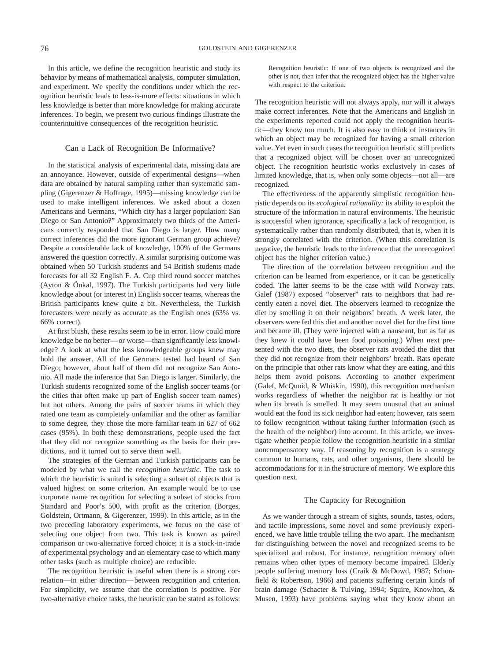In this article, we define the recognition heuristic and study its behavior by means of mathematical analysis, computer simulation, and experiment. We specify the conditions under which the recognition heuristic leads to less-is-more effects: situations in which less knowledge is better than more knowledge for making accurate inferences. To begin, we present two curious findings illustrate the counterintuitive consequences of the recognition heuristic.

# Can a Lack of Recognition Be Informative?

In the statistical analysis of experimental data, missing data are an annoyance. However, outside of experimental designs—when data are obtained by natural sampling rather than systematic sampling (Gigerenzer & Hoffrage, 1995)—missing knowledge can be used to make intelligent inferences. We asked about a dozen Americans and Germans, "Which city has a larger population: San Diego or San Antonio?" Approximately two thirds of the Americans correctly responded that San Diego is larger. How many correct inferences did the more ignorant German group achieve? Despite a considerable lack of knowledge, 100% of the Germans answered the question correctly. A similar surprising outcome was obtained when 50 Turkish students and 54 British students made forecasts for all 32 English F. A. Cup third round soccer matches (Ayton & Önkal, 1997). The Turkish participants had very little knowledge about (or interest in) English soccer teams, whereas the British participants knew quite a bit. Nevertheless, the Turkish forecasters were nearly as accurate as the English ones (63% vs. 66% correct).

At first blush, these results seem to be in error. How could more knowledge be no better—or worse—than significantly less knowledge? A look at what the less knowledgeable groups knew may hold the answer. All of the Germans tested had heard of San Diego; however, about half of them did not recognize San Antonio. All made the inference that San Diego is larger. Similarly, the Turkish students recognized some of the English soccer teams (or the cities that often make up part of English soccer team names) but not others. Among the pairs of soccer teams in which they rated one team as completely unfamiliar and the other as familiar to some degree, they chose the more familiar team in 627 of 662 cases (95%). In both these demonstrations, people used the fact that they did not recognize something as the basis for their predictions, and it turned out to serve them well.

The strategies of the German and Turkish participants can be modeled by what we call the *recognition heuristic.* The task to which the heuristic is suited is selecting a subset of objects that is valued highest on some criterion. An example would be to use corporate name recognition for selecting a subset of stocks from Standard and Poor's 500, with profit as the criterion (Borges, Goldstein, Ortmann, & Gigerenzer, 1999). In this article, as in the two preceding laboratory experiments, we focus on the case of selecting one object from two. This task is known as paired comparison or two-alternative forced choice; it is a stock-in-trade of experimental psychology and an elementary case to which many other tasks (such as multiple choice) are reducible.

The recognition heuristic is useful when there is a strong correlation—in either direction—between recognition and criterion. For simplicity, we assume that the correlation is positive. For two-alternative choice tasks, the heuristic can be stated as follows: Recognition heuristic: If one of two objects is recognized and the other is not, then infer that the recognized object has the higher value with respect to the criterion.

The recognition heuristic will not always apply, nor will it always make correct inferences. Note that the Americans and English in the experiments reported could not apply the recognition heuristic—they know too much. It is also easy to think of instances in which an object may be recognized for having a small criterion value. Yet even in such cases the recognition heuristic still predicts that a recognized object will be chosen over an unrecognized object. The recognition heuristic works exclusively in cases of limited knowledge, that is, when only some objects—not all—are recognized.

The effectiveness of the apparently simplistic recognition heuristic depends on its *ecological rationality:* its ability to exploit the structure of the information in natural environments. The heuristic is successful when ignorance, specifically a lack of recognition, is systematically rather than randomly distributed, that is, when it is strongly correlated with the criterion. (When this correlation is negative, the heuristic leads to the inference that the unrecognized object has the higher criterion value.)

The direction of the correlation between recognition and the criterion can be learned from experience, or it can be genetically coded. The latter seems to be the case with wild Norway rats. Galef (1987) exposed "observer" rats to neighbors that had recently eaten a novel diet. The observers learned to recognize the diet by smelling it on their neighbors' breath. A week later, the observers were fed this diet and another novel diet for the first time and became ill. (They were injected with a nauseant, but as far as they knew it could have been food poisoning.) When next presented with the two diets, the observer rats avoided the diet that they did not recognize from their neighbors' breath. Rats operate on the principle that other rats know what they are eating, and this helps them avoid poisons. According to another experiment (Galef, McQuoid, & Whiskin, 1990), this recognition mechanism works regardless of whether the neighbor rat is healthy or not when its breath is smelled. It may seem unusual that an animal would eat the food its sick neighbor had eaten; however, rats seem to follow recognition without taking further information (such as the health of the neighbor) into account. In this article, we investigate whether people follow the recognition heuristic in a similar noncompensatory way. If reasoning by recognition is a strategy common to humans, rats, and other organisms, there should be accommodations for it in the structure of memory. We explore this question next.

# The Capacity for Recognition

As we wander through a stream of sights, sounds, tastes, odors, and tactile impressions, some novel and some previously experienced, we have little trouble telling the two apart. The mechanism for distinguishing between the novel and recognized seems to be specialized and robust. For instance, recognition memory often remains when other types of memory become impaired. Elderly people suffering memory loss (Craik & McDowd, 1987; Schonfield & Robertson, 1966) and patients suffering certain kinds of brain damage (Schacter & Tulving, 1994; Squire, Knowlton, & Musen, 1993) have problems saying what they know about an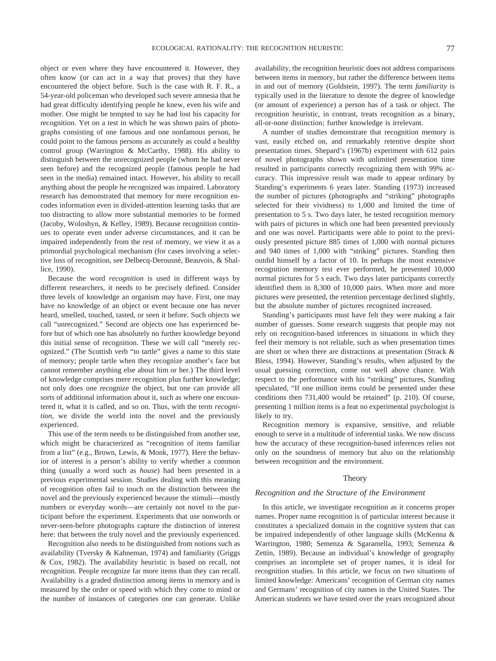object or even where they have encountered it. However, they often know (or can act in a way that proves) that they have encountered the object before. Such is the case with R. F. R., a 54-year-old policeman who developed such severe amnesia that he had great difficulty identifying people he knew, even his wife and mother. One might be tempted to say he had lost his capacity for recognition. Yet on a test in which he was shown pairs of photographs consisting of one famous and one nonfamous person, he could point to the famous persons as accurately as could a healthy control group (Warrington & McCarthy, 1988). His ability to distinguish between the unrecognized people (whom he had never seen before) and the recognized people (famous people he had seen in the media) remained intact. However, his ability to recall anything about the people he recognized was impaired. Laboratory research has demonstrated that memory for mere recognition encodes information even in divided-attention learning tasks that are too distracting to allow more substantial memories to be formed (Jacoby, Woloshyn, & Kelley, 1989). Because recognition continues to operate even under adverse circumstances, and it can be impaired independently from the rest of memory, we view it as a primordial psychological mechanism (for cases involving a selective loss of recognition, see Delbecq-Derousné, Beauvois, & Shallice, 1990).

Because the word *recognition* is used in different ways by different researchers, it needs to be precisely defined. Consider three levels of knowledge an organism may have. First, one may have no knowledge of an object or event because one has never heard, smelled, touched, tasted, or seen it before. Such objects we call "unrecognized." Second are objects one has experienced before but of which one has absolutely no further knowledge beyond this initial sense of recognition. These we will call "merely recognized." (The Scottish verb "to tartle" gives a name to this state of memory; people tartle when they recognize another's face but cannot remember anything else about him or her.) The third level of knowledge comprises mere recognition plus further knowledge; not only does one recognize the object, but one can provide all sorts of additional information about it, such as where one encountered it, what it is called, and so on. Thus, with the term *recognition*, we divide the world into the novel and the previously experienced.

This use of the term needs to be distinguished from another use, which might be characterized as "recognition of items familiar from a list" (e.g., Brown, Lewis, & Monk, 1977). Here the behavior of interest is a person's ability to verify whether a common thing (usually a word such as *house*) had been presented in a previous experimental session. Studies dealing with this meaning of recognition often fail to touch on the distinction between the novel and the previously experienced because the stimuli—mostly numbers or everyday words—are certainly not novel to the participant before the experiment. Experiments that use nonwords or never-seen-before photographs capture the distinction of interest here: that between the truly novel and the previously experienced.

Recognition also needs to be distinguished from notions such as availability (Tversky & Kahneman, 1974) and familiarity (Griggs & Cox, 1982). The availability heuristic is based on recall, not recognition. People recognize far more items than they can recall. Availability is a graded distinction among items in memory and is measured by the order or speed with which they come to mind or the number of instances of categories one can generate. Unlike availability, the recognition heuristic does not address comparisons between items in memory, but rather the difference between items in and out of memory (Goldstein, 1997). The term *familiarity* is typically used in the literature to denote the degree of knowledge (or amount of experience) a person has of a task or object. The recognition heuristic, in contrast, treats recognition as a binary, all-or-none distinction; further knowledge is irrelevant.

A number of studies demonstrate that recognition memory is vast, easily etched on, and remarkably retentive despite short presentation times. Shepard's (1967b) experiment with 612 pairs of novel photographs shown with unlimited presentation time resulted in participants correctly recognizing them with 99% accuracy. This impressive result was made to appear ordinary by Standing's experiments 6 years later. Standing (1973) increased the number of pictures (photographs and "striking" photographs selected for their vividness) to 1,000 and limited the time of presentation to 5 s. Two days later, he tested recognition memory with pairs of pictures in which one had been presented previously and one was novel. Participants were able to point to the previously presented picture 885 times of 1,000 with normal pictures and 940 times of 1,000 with "striking" pictures. Standing then outdid himself by a factor of 10. In perhaps the most extensive recognition memory test ever performed, he presented 10,000 normal pictures for 5 s each. Two days later participants correctly identified them in 8,300 of 10,000 pairs. When more and more pictures were presented, the retention percentage declined slightly, but the absolute number of pictures recognized increased.

Standing's participants must have felt they were making a fair number of guesses. Some research suggests that people may not rely on recognition-based inferences in situations in which they feel their memory is not reliable, such as when presentation times are short or when there are distractions at presentation (Strack & Bless, 1994). However, Standing's results, when adjusted by the usual guessing correction, come out well above chance. With respect to the performance with his "striking" pictures, Standing speculated, "If one million items could be presented under these conditions then 731,400 would be retained" (p. 210). Of course, presenting 1 million items is a feat no experimental psychologist is likely to try.

Recognition memory is expansive, sensitive, and reliable enough to serve in a multitude of inferential tasks. We now discuss how the accuracy of these recognition-based inferences relies not only on the soundness of memory but also on the relationship between recognition and the environment.

# Theory

#### *Recognition and the Structure of the Environment*

In this article, we investigate recognition as it concerns proper names. Proper name recognition is of particular interest because it constitutes a specialized domain in the cognitive system that can be impaired independently of other language skills (McKenna & Warrington, 1980; Semenza & Sgaramella, 1993; Semenza & Zettin, 1989). Because an individual's knowledge of geography comprises an incomplete set of proper names, it is ideal for recognition studies. In this article, we focus on two situations of limited knowledge: Americans' recognition of German city names and Germans' recognition of city names in the United States. The American students we have tested over the years recognized about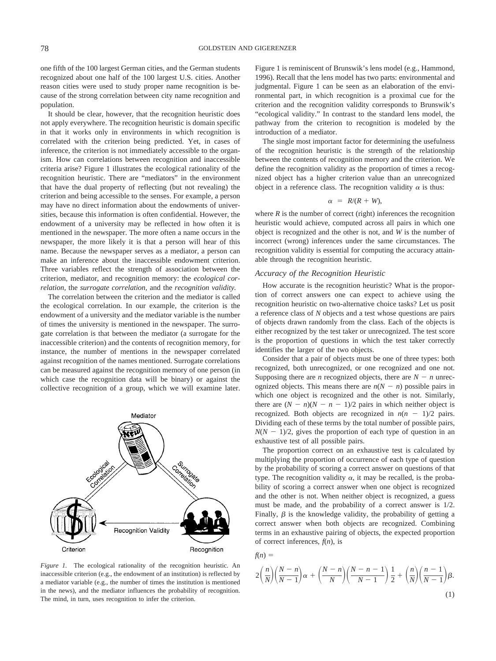one fifth of the 100 largest German cities, and the German students recognized about one half of the 100 largest U.S. cities. Another reason cities were used to study proper name recognition is because of the strong correlation between city name recognition and population.

It should be clear, however, that the recognition heuristic does not apply everywhere. The recognition heuristic is domain specific in that it works only in environments in which recognition is correlated with the criterion being predicted. Yet, in cases of inference, the criterion is not immediately accessible to the organism. How can correlations between recognition and inaccessible criteria arise? Figure 1 illustrates the ecological rationality of the recognition heuristic. There are "mediators" in the environment that have the dual property of reflecting (but not revealing) the criterion and being accessible to the senses. For example, a person may have no direct information about the endowments of universities, because this information is often confidential. However, the endowment of a university may be reflected in how often it is mentioned in the newspaper. The more often a name occurs in the newspaper, the more likely it is that a person will hear of this name. Because the newspaper serves as a mediator, a person can make an inference about the inaccessible endowment criterion. Three variables reflect the strength of association between the criterion, mediator, and recognition memory: the *ecological correlation,* the *surrogate correlation,* and the *recognition validity.*

The correlation between the criterion and the mediator is called the ecological correlation. In our example, the criterion is the endowment of a university and the mediator variable is the number of times the university is mentioned in the newspaper. The surrogate correlation is that between the mediator (a surrogate for the inaccessible criterion) and the contents of recognition memory, for instance, the number of mentions in the newspaper correlated against recognition of the names mentioned. Surrogate correlations can be measured against the recognition memory of one person (in which case the recognition data will be binary) or against the collective recognition of a group, which we will examine later.



*Figure 1.* The ecological rationality of the recognition heuristic. An inaccessible criterion (e.g., the endowment of an institution) is reflected by a mediator variable (e.g., the number of times the institution is mentioned in the news), and the mediator influences the probability of recognition. The mind, in turn, uses recognition to infer the criterion.

Figure 1 is reminiscent of Brunswik's lens model (e.g., Hammond, 1996). Recall that the lens model has two parts: environmental and judgmental. Figure 1 can be seen as an elaboration of the environmental part, in which recognition is a proximal cue for the criterion and the recognition validity corresponds to Brunswik's "ecological validity." In contrast to the standard lens model, the pathway from the criterion to recognition is modeled by the introduction of a mediator.

The single most important factor for determining the usefulness of the recognition heuristic is the strength of the relationship between the contents of recognition memory and the criterion. We define the recognition validity as the proportion of times a recognized object has a higher criterion value than an unrecognized object in a reference class. The recognition validity  $\alpha$  is thus:

$$
\alpha = R/(R+W),
$$

where  $R$  is the number of correct (right) inferences the recognition heuristic would achieve, computed across all pairs in which one object is recognized and the other is not, and *W* is the number of incorrect (wrong) inferences under the same circumstances. The recognition validity is essential for computing the accuracy attainable through the recognition heuristic.

# *Accuracy of the Recognition Heuristic*

How accurate is the recognition heuristic? What is the proportion of correct answers one can expect to achieve using the recognition heuristic on two-alternative choice tasks? Let us posit a reference class of *N* objects and a test whose questions are pairs of objects drawn randomly from the class. Each of the objects is either recognized by the test taker or unrecognized. The test score is the proportion of questions in which the test taker correctly identifies the larger of the two objects.

Consider that a pair of objects must be one of three types: both recognized, both unrecognized, or one recognized and one not. Supposing there are *n* recognized objects, there are  $N - n$  unrecognized objects. This means there are  $n(N - n)$  possible pairs in which one object is recognized and the other is not. Similarly, there are  $(N - n)(N - n - 1)/2$  pairs in which neither object is recognized. Both objects are recognized in  $n(n - 1)/2$  pairs. Dividing each of these terms by the total number of possible pairs,  $N(N - 1)/2$ , gives the proportion of each type of question in an exhaustive test of all possible pairs.

The proportion correct on an exhaustive test is calculated by multiplying the proportion of occurrence of each type of question by the probability of scoring a correct answer on questions of that type. The recognition validity  $\alpha$ , it may be recalled, is the probability of scoring a correct answer when one object is recognized and the other is not. When neither object is recognized, a guess must be made, and the probability of a correct answer is 1/2. Finally,  $\beta$  is the knowledge validity, the probability of getting a correct answer when both objects are recognized. Combining terms in an exhaustive pairing of objects, the expected proportion of correct inferences, *f*(*n*), is

$$
f(n) =
$$

$$
2\left(\frac{n}{N}\right)\left(\frac{N-n}{N-1}\right)\alpha + \left(\frac{N-n}{N}\right)\left(\frac{N-n-1}{N-1}\right)\frac{1}{2} + \left(\frac{n}{N}\right)\left(\frac{n-1}{N-1}\right)\beta.
$$
\n(1)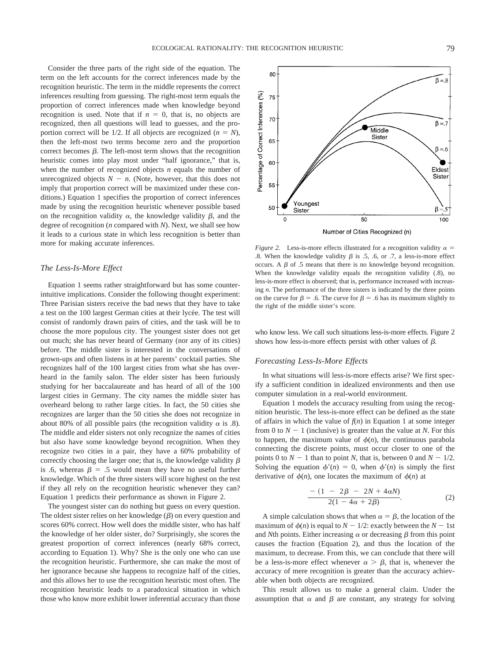Consider the three parts of the right side of the equation. The term on the left accounts for the correct inferences made by the recognition heuristic. The term in the middle represents the correct inferences resulting from guessing. The right-most term equals the proportion of correct inferences made when knowledge beyond recognition is used. Note that if  $n = 0$ , that is, no objects are recognized, then all questions will lead to guesses, and the proportion correct will be  $1/2$ . If all objects are recognized  $(n = N)$ , then the left-most two terms become zero and the proportion correct becomes  $\beta$ . The left-most term shows that the recognition heuristic comes into play most under "half ignorance," that is, when the number of recognized objects *n* equals the number of unrecognized objects  $N - n$ . (Note, however, that this does not imply that proportion correct will be maximized under these conditions.) Equation 1 specifies the proportion of correct inferences made by using the recognition heuristic whenever possible based on the recognition validity  $\alpha$ , the knowledge validity  $\beta$ , and the degree of recognition (*n* compared with *N*). Next, we shall see how it leads to a curious state in which less recognition is better than more for making accurate inferences.

# *The Less-Is-More Effect*

Equation 1 seems rather straightforward but has some counterintuitive implications. Consider the following thought experiment: Three Parisian sisters receive the bad news that they have to take a test on the 100 largest German cities at their lycée. The test will consist of randomly drawn pairs of cities, and the task will be to choose the more populous city. The youngest sister does not get out much; she has never heard of Germany (nor any of its cities) before. The middle sister is interested in the conversations of grown-ups and often listens in at her parents' cocktail parties. She recognizes half of the 100 largest cities from what she has overheard in the family salon. The elder sister has been furiously studying for her baccalaureate and has heard of all of the 100 largest cities in Germany. The city names the middle sister has overheard belong to rather large cities. In fact, the 50 cities she recognizes are larger than the 50 cities she does not recognize in about 80% of all possible pairs (the recognition validity  $\alpha$  is .8). The middle and elder sisters not only recognize the names of cities but also have some knowledge beyond recognition. When they recognize two cities in a pair, they have a 60% probability of correctly choosing the larger one; that is, the knowledge validity  $\beta$ is .6, whereas  $\beta = .5$  would mean they have no useful further knowledge. Which of the three sisters will score highest on the test if they all rely on the recognition heuristic whenever they can? Equation 1 predicts their performance as shown in Figure 2.

The youngest sister can do nothing but guess on every question. The oldest sister relies on her knowledge  $(\beta)$  on every question and scores 60% correct. How well does the middle sister, who has half the knowledge of her older sister, do? Surprisingly, she scores the greatest proportion of correct inferences (nearly 68% correct, according to Equation 1). Why? She is the only one who can use the recognition heuristic. Furthermore, she can make the most of her ignorance because she happens to recognize half of the cities, and this allows her to use the recognition heuristic most often. The recognition heuristic leads to a paradoxical situation in which those who know more exhibit lower inferential accuracy than those



*Figure 2.* Less-is-more effects illustrated for a recognition validity  $\alpha$  = .8. When the knowledge validity  $\beta$  is .5, .6, or .7, a less-is-more effect occurs. A  $\beta$  of .5 means that there is no knowledge beyond recognition. When the knowledge validity equals the recognition validity (.8), no less-is-more effect is observed; that is, performance increased with increasing *n*. The performance of the three sisters is indicated by the three points on the curve for  $\beta = .6$ . The curve for  $\beta = .6$  has its maximum slightly to the right of the middle sister's score.

who know less. We call such situations less-is-more effects. Figure 2 shows how less-is-more effects persist with other values of  $\beta$ .

## *Forecasting Less-Is-More Effects*

In what situations will less-is-more effects arise? We first specify a sufficient condition in idealized environments and then use computer simulation in a real-world environment.

Equation 1 models the accuracy resulting from using the recognition heuristic. The less-is-more effect can be defined as the state of affairs in which the value of  $f(n)$  in Equation 1 at some integer from 0 to  $N - 1$  (inclusive) is greater than the value at N. For this to happen, the maximum value of  $\phi(n)$ , the continuous parabola connecting the discrete points, must occur closer to one of the points 0 to  $N - 1$  than to point *N*, that is, between 0 and  $N - 1/2$ . Solving the equation  $\phi'(n) = 0$ , when  $\phi'(n)$  is simply the first derivative of  $\phi(n)$ , one locates the maximum of  $\phi(n)$  at

$$
\frac{- (1 - 2\beta - 2N + 4\alpha N)}{2(1 - 4\alpha + 2\beta)}.
$$
 (2)

A simple calculation shows that when  $\alpha = \beta$ , the location of the maximum of  $\phi(n)$  is equal to  $N - 1/2$ : exactly between the  $N - 1$ st and *N*th points. Either increasing  $\alpha$  or decreasing  $\beta$  from this point causes the fraction (Equation 2), and thus the location of the maximum, to decrease. From this, we can conclude that there will be a less-is-more effect whenever  $\alpha > \beta$ , that is, whenever the accuracy of mere recognition is greater than the accuracy achievable when both objects are recognized.

This result allows us to make a general claim. Under the assumption that  $\alpha$  and  $\beta$  are constant, any strategy for solving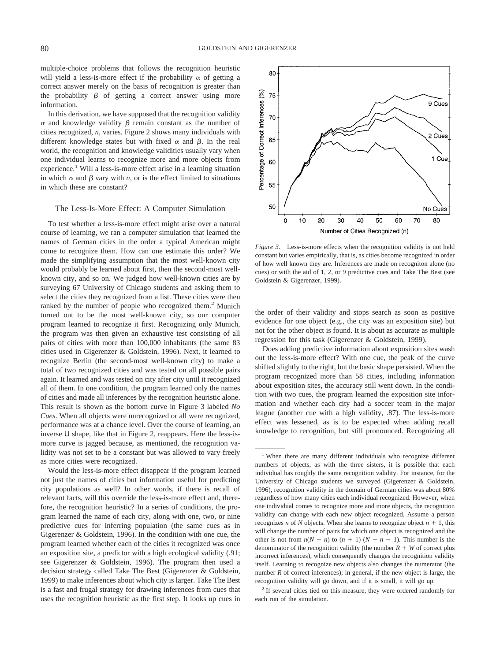multiple-choice problems that follows the recognition heuristic will yield a less-is-more effect if the probability  $\alpha$  of getting a correct answer merely on the basis of recognition is greater than the probability  $\beta$  of getting a correct answer using more information.

In this derivation, we have supposed that the recognition validity  $\alpha$  and knowledge validity  $\beta$  remain constant as the number of cities recognized, *n*, varies. Figure 2 shows many individuals with different knowledge states but with fixed  $\alpha$  and  $\beta$ . In the real world, the recognition and knowledge validities usually vary when one individual learns to recognize more and more objects from experience.<sup>1</sup> Will a less-is-more effect arise in a learning situation in which  $\alpha$  and  $\beta$  vary with *n*, or is the effect limited to situations in which these are constant?

# The Less-Is-More Effect: A Computer Simulation

To test whether a less-is-more effect might arise over a natural course of learning, we ran a computer simulation that learned the names of German cities in the order a typical American might come to recognize them. How can one estimate this order? We made the simplifying assumption that the most well-known city would probably be learned about first, then the second-most wellknown city, and so on. We judged how well-known cities are by surveying 67 University of Chicago students and asking them to select the cities they recognized from a list. These cities were then ranked by the number of people who recognized them.<sup>2</sup> Munich turned out to be the most well-known city, so our computer program learned to recognize it first. Recognizing only Munich, the program was then given an exhaustive test consisting of all pairs of cities with more than 100,000 inhabitants (the same 83 cities used in Gigerenzer & Goldstein, 1996). Next, it learned to recognize Berlin (the second-most well-known city) to make a total of two recognized cities and was tested on all possible pairs again. It learned and was tested on city after city until it recognized all of them. In one condition, the program learned only the names of cities and made all inferences by the recognition heuristic alone. This result is shown as the bottom curve in Figure 3 labeled *No Cues*. When all objects were unrecognized or all were recognized, performance was at a chance level. Over the course of learning, an inverse U shape, like that in Figure 2, reappears. Here the less-ismore curve is jagged because, as mentioned, the recognition validity was not set to be a constant but was allowed to vary freely as more cities were recognized.

Would the less-is-more effect disappear if the program learned not just the names of cities but information useful for predicting city populations as well? In other words, if there is recall of relevant facts, will this override the less-is-more effect and, therefore, the recognition heuristic? In a series of conditions, the program learned the name of each city, along with one, two, or nine predictive cues for inferring population (the same cues as in Gigerenzer & Goldstein, 1996). In the condition with one cue, the program learned whether each of the cities it recognized was once an exposition site, a predictor with a high ecological validity (.91; see Gigerenzer & Goldstein, 1996). The program then used a decision strategy called Take The Best (Gigerenzer & Goldstein, 1999) to make inferences about which city is larger. Take The Best is a fast and frugal strategy for drawing inferences from cues that uses the recognition heuristic as the first step. It looks up cues in



*Figure 3.* Less-is-more effects when the recognition validity is not held constant but varies empirically, that is, as cities become recognized in order of how well known they are. Inferences are made on recogniton alone (no cues) or with the aid of 1, 2, or 9 predictive cues and Take The Best (see Goldstein & Gigerenzer, 1999).

the order of their validity and stops search as soon as positive evidence for one object (e.g., the city was an exposition site) but not for the other object is found. It is about as accurate as multiple regression for this task (Gigerenzer & Goldstein, 1999).

Does adding predictive information about exposition sites wash out the less-is-more effect? With one cue, the peak of the curve shifted slightly to the right, but the basic shape persisted. When the program recognized more than 58 cities, including information about exposition sites, the accuracy still went down. In the condition with two cues, the program learned the exposition site information and whether each city had a soccer team in the major league (another cue with a high validity, .87). The less-is-more effect was lessened, as is to be expected when adding recall knowledge to recognition, but still pronounced. Recognizing all

<sup>1</sup> When there are many different individuals who recognize different numbers of objects, as with the three sisters, it is possible that each individual has roughly the same recognition validity. For instance, for the University of Chicago students we surveyed (Gigerenzer & Goldstein, 1996), recognition validity in the domain of German cities was about 80% regardless of how many cities each individual recognized. However, when one individual comes to recognize more and more objects, the recognition validity can change with each new object recognized. Assume a person recognizes *n* of *N* objects. When she learns to recognize object  $n + 1$ , this will change the number of pairs for which one object is recognized and the other is not from  $n(N - n)$  to  $(n + 1)$   $(N - n - 1)$ . This number is the denominator of the recognition validity (the number  $R + W$  of correct plus incorrect inferences), which consequently changes the recognition validity itself. Learning to recognize new objects also changes the numerator (the number  $R$  of correct inferences); in general, if the new object is large, the recognition validity will go down, and if it is small, it will go up.

<sup>&</sup>lt;sup>2</sup> If several cities tied on this measure, they were ordered randomly for each run of the simulation.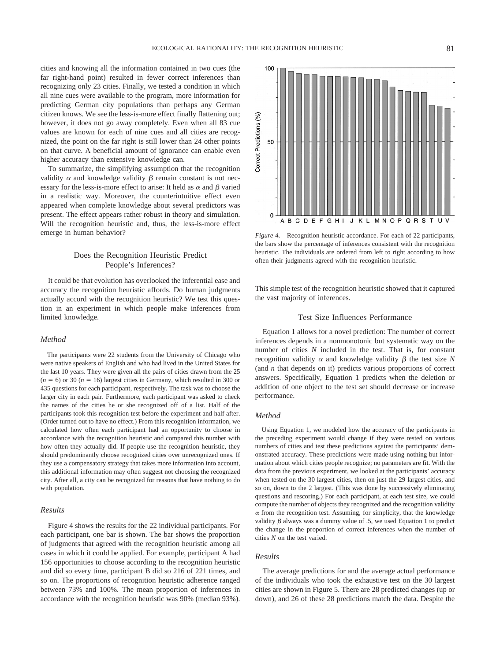cities and knowing all the information contained in two cues (the far right-hand point) resulted in fewer correct inferences than recognizing only 23 cities. Finally, we tested a condition in which all nine cues were available to the program, more information for predicting German city populations than perhaps any German citizen knows. We see the less-is-more effect finally flattening out; however, it does not go away completely. Even when all 83 cue values are known for each of nine cues and all cities are recognized, the point on the far right is still lower than 24 other points on that curve. A beneficial amount of ignorance can enable even higher accuracy than extensive knowledge can.

To summarize, the simplifying assumption that the recognition validity  $\alpha$  and knowledge validity  $\beta$  remain constant is not necessary for the less-is-more effect to arise: It held as  $\alpha$  and  $\beta$  varied in a realistic way. Moreover, the counterintuitive effect even appeared when complete knowledge about several predictors was present. The effect appears rather robust in theory and simulation. Will the recognition heuristic and, thus, the less-is-more effect emerge in human behavior?

# Does the Recognition Heuristic Predict People's Inferences?

It could be that evolution has overlooked the inferential ease and accuracy the recognition heuristic affords. Do human judgments actually accord with the recognition heuristic? We test this question in an experiment in which people make inferences from limited knowledge.

# *Method*

The participants were 22 students from the University of Chicago who were native speakers of English and who had lived in the United States for the last 10 years. They were given all the pairs of cities drawn from the 25  $(n = 6)$  or 30  $(n = 16)$  largest cities in Germany, which resulted in 300 or 435 questions for each participant, respectively. The task was to choose the larger city in each pair. Furthermore, each participant was asked to check the names of the cities he or she recognized off of a list. Half of the participants took this recognition test before the experiment and half after. (Order turned out to have no effect.) From this recognition information, we calculated how often each participant had an opportunity to choose in accordance with the recognition heuristic and compared this number with how often they actually did. If people use the recognition heuristic, they should predominantly choose recognized cities over unrecognized ones. If they use a compensatory strategy that takes more information into account, this additional information may often suggest not choosing the recognized city. After all, a city can be recognized for reasons that have nothing to do with population.

# *Results*

Figure 4 shows the results for the 22 individual participants. For each participant, one bar is shown. The bar shows the proportion of judgments that agreed with the recognition heuristic among all cases in which it could be applied. For example, participant A had 156 opportunities to choose according to the recognition heuristic and did so every time, participant B did so 216 of 221 times, and so on. The proportions of recognition heuristic adherence ranged between 73% and 100%. The mean proportion of inferences in accordance with the recognition heuristic was 90% (median 93%).



*Figure 4.* Recognition heuristic accordance. For each of 22 participants, the bars show the percentage of inferences consistent with the recognition heuristic. The individuals are ordered from left to right according to how often their judgments agreed with the recognition heuristic.

This simple test of the recognition heuristic showed that it captured the vast majority of inferences.

# Test Size Influences Performance

Equation 1 allows for a novel prediction: The number of correct inferences depends in a nonmonotonic but systematic way on the number of cities *N* included in the test. That is, for constant recognition validity  $\alpha$  and knowledge validity  $\beta$  the test size *N* (and *n* that depends on it) predicts various proportions of correct answers. Specifically, Equation 1 predicts when the deletion or addition of one object to the test set should decrease or increase performance.

#### *Method*

Using Equation 1, we modeled how the accuracy of the participants in the preceding experiment would change if they were tested on various numbers of cities and test these predictions against the participants' demonstrated accuracy. These predictions were made using nothing but information about which cities people recognize; no parameters are fit. With the data from the previous experiment, we looked at the participants' accuracy when tested on the 30 largest cities, then on just the 29 largest cities, and so on, down to the 2 largest. (This was done by successively eliminating questions and rescoring.) For each participant, at each test size, we could compute the number of objects they recognized and the recognition validity  $\alpha$  from the recognition test. Assuming, for simplicity, that the knowledge validity  $\beta$  always was a dummy value of .5, we used Equation 1 to predict the change in the proportion of correct inferences when the number of cities *N* on the test varied.

#### *Results*

The average predictions for and the average actual performance of the individuals who took the exhaustive test on the 30 largest cities are shown in Figure 5. There are 28 predicted changes (up or down), and 26 of these 28 predictions match the data. Despite the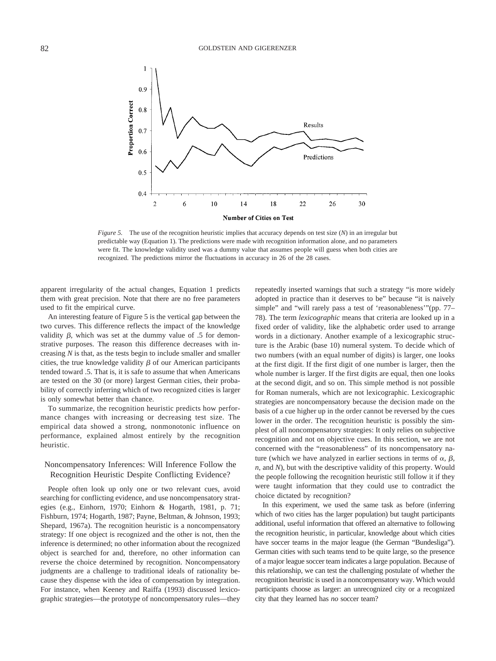

*Figure 5.* The use of the recognition heuristic implies that accuracy depends on test size (*N*) in an irregular but predictable way (Equation 1). The predictions were made with recognition information alone, and no parameters were fit. The knowledge validity used was a dummy value that assumes people will guess when both cities are recognized. The predictions mirror the fluctuations in accuracy in 26 of the 28 cases.

apparent irregularity of the actual changes, Equation 1 predicts them with great precision. Note that there are no free parameters used to fit the empirical curve.

An interesting feature of Figure 5 is the vertical gap between the two curves. This difference reflects the impact of the knowledge validity  $\beta$ , which was set at the dummy value of .5 for demonstrative purposes. The reason this difference decreases with increasing *N* is that, as the tests begin to include smaller and smaller cities, the true knowledge validity  $\beta$  of our American participants tended toward .5. That is, it is safe to assume that when Americans are tested on the 30 (or more) largest German cities, their probability of correctly inferring which of two recognized cities is larger is only somewhat better than chance.

To summarize, the recognition heuristic predicts how performance changes with increasing or decreasing test size. The empirical data showed a strong, nonmonotonic influence on performance, explained almost entirely by the recognition heuristic.

# Noncompensatory Inferences: Will Inference Follow the Recognition Heuristic Despite Conflicting Evidence?

People often look up only one or two relevant cues, avoid searching for conflicting evidence, and use noncompensatory strategies (e.g., Einhorn, 1970; Einhorn & Hogarth, 1981, p. 71; Fishburn, 1974; Hogarth, 1987; Payne, Beltman, & Johnson, 1993; Shepard, 1967a). The recognition heuristic is a noncompensatory strategy: If one object is recognized and the other is not, then the inference is determined; no other information about the recognized object is searched for and, therefore, no other information can reverse the choice determined by recognition. Noncompensatory judgments are a challenge to traditional ideals of rationality because they dispense with the idea of compensation by integration. For instance, when Keeney and Raiffa (1993) discussed lexicographic strategies—the prototype of noncompensatory rules—they repeatedly inserted warnings that such a strategy "is more widely adopted in practice than it deserves to be" because "it is naively simple" and "will rarely pass a test of 'reasonableness'"(pp. 77– 78). The term *lexicographic* means that criteria are looked up in a fixed order of validity, like the alphabetic order used to arrange words in a dictionary. Another example of a lexicographic structure is the Arabic (base 10) numeral system. To decide which of two numbers (with an equal number of digits) is larger, one looks at the first digit. If the first digit of one number is larger, then the whole number is larger. If the first digits are equal, then one looks at the second digit, and so on. This simple method is not possible for Roman numerals, which are not lexicographic. Lexicographic strategies are noncompensatory because the decision made on the basis of a cue higher up in the order cannot be reversed by the cues lower in the order. The recognition heuristic is possibly the simplest of all noncompensatory strategies: It only relies on subjective recognition and not on objective cues. In this section, we are not concerned with the "reasonableness" of its noncompensatory nature (which we have analyzed in earlier sections in terms of  $\alpha$ ,  $\beta$ , *n*, and *N*), but with the descriptive validity of this property. Would the people following the recognition heuristic still follow it if they were taught information that they could use to contradict the choice dictated by recognition?

In this experiment, we used the same task as before (inferring which of two cities has the larger population) but taught participants additional, useful information that offered an alternative to following the recognition heuristic, in particular, knowledge about which cities have soccer teams in the major league (the German "Bundesliga"). German cities with such teams tend to be quite large, so the presence of a major league soccer team indicates a large population. Because of this relationship, we can test the challenging postulate of whether the recognition heuristic is used in a noncompensatory way. Which would participants choose as larger: an unrecognized city or a recognized city that they learned has *no* soccer team?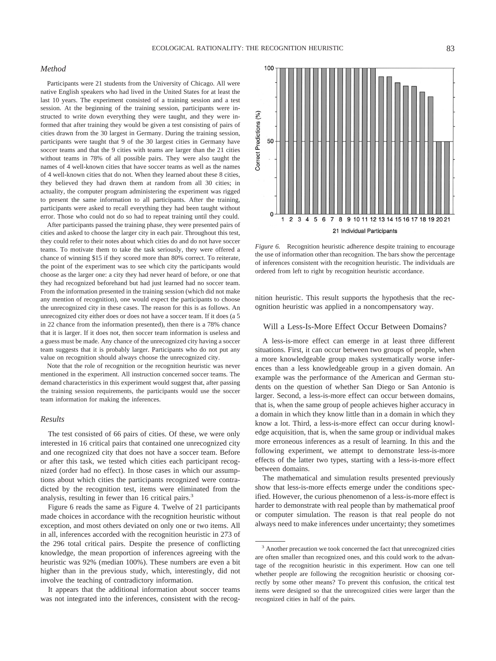$100$ 

# *Method*

Participants were 21 students from the University of Chicago. All were native English speakers who had lived in the United States for at least the last 10 years. The experiment consisted of a training session and a test session. At the beginning of the training session, participants were instructed to write down everything they were taught, and they were informed that after training they would be given a test consisting of pairs of cities drawn from the 30 largest in Germany. During the training session, participants were taught that 9 of the 30 largest cities in Germany have soccer teams and that the 9 cities with teams are larger than the 21 cities without teams in 78% of all possible pairs. They were also taught the names of 4 well-known cities that have soccer teams as well as the names of 4 well-known cities that do not. When they learned about these 8 cities, they believed they had drawn them at random from all 30 cities; in actuality, the computer program administering the experiment was rigged to present the same information to all participants. After the training, participants were asked to recall everything they had been taught without error. Those who could not do so had to repeat training until they could.

After participants passed the training phase, they were presented pairs of cities and asked to choose the larger city in each pair. Throughout this test, they could refer to their notes about which cities do and do not have soccer teams. To motivate them to take the task seriously, they were offered a chance of winning \$15 if they scored more than 80% correct. To reiterate, the point of the experiment was to see which city the participants would choose as the larger one: a city they had never heard of before, or one that they had recognized beforehand but had just learned had no soccer team. From the information presented in the training session (which did not make any mention of recognition), one would expect the participants to choose the unrecognized city in these cases. The reason for this is as follows. An unrecognized city either does or does not have a soccer team. If it does (a 5 in 22 chance from the information presented), then there is a 78% chance that it is larger. If it does not, then soccer team information is useless and a guess must be made. Any chance of the unrecognized city having a soccer team suggests that it is probably larger. Participants who do not put any value on recognition should always choose the unrecognized city.

Note that the role of recognition or the recognition heuristic was never mentioned in the experiment. All instruction concerned soccer teams. The demand characteristics in this experiment would suggest that, after passing the training session requirements, the participants would use the soccer team information for making the inferences.

# *Results*

The test consisted of 66 pairs of cities. Of these, we were only interested in 16 critical pairs that contained one unrecognized city and one recognized city that does not have a soccer team. Before or after this task, we tested which cities each participant recognized (order had no effect). In those cases in which our assumptions about which cities the participants recognized were contradicted by the recognition test, items were eliminated from the analysis, resulting in fewer than 16 critical pairs.<sup>3</sup>

Figure 6 reads the same as Figure 4. Twelve of 21 participants made choices in accordance with the recognition heuristic without exception, and most others deviated on only one or two items. All in all, inferences accorded with the recognition heuristic in 273 of the 296 total critical pairs. Despite the presence of conflicting knowledge, the mean proportion of inferences agreeing with the heuristic was 92% (median 100%). These numbers are even a bit higher than in the previous study, which, interestingly, did not involve the teaching of contradictory information.

It appears that the additional information about soccer teams was not integrated into the inferences, consistent with the recog-

Predictions (%) 50 Correct 1 2 3 4 5 6 7 8 9 10 11 12 13 14 15 16 17 18 19 20 21 21 Individual Participants *Figure 6.* Recognition heuristic adherence despite training to encourage

the use of information other than recognition. The bars show the percentage of inferences consistent with the recognition heuristic. The individuals are ordered from left to right by recognition heuristic accordance.

nition heuristic. This result supports the hypothesis that the recognition heuristic was applied in a noncompensatory way.

# Will a Less-Is-More Effect Occur Between Domains?

A less-is-more effect can emerge in at least three different situations. First, it can occur between two groups of people, when a more knowledgeable group makes systematically worse inferences than a less knowledgeable group in a given domain. An example was the performance of the American and German students on the question of whether San Diego or San Antonio is larger. Second, a less-is-more effect can occur between domains, that is, when the same group of people achieves higher accuracy in a domain in which they know little than in a domain in which they know a lot. Third, a less-is-more effect can occur during knowledge acquisition, that is, when the same group or individual makes more erroneous inferences as a result of learning. In this and the following experiment, we attempt to demonstrate less-is-more effects of the latter two types, starting with a less-is-more effect between domains.

The mathematical and simulation results presented previously show that less-is-more effects emerge under the conditions specified. However, the curious phenomenon of a less-is-more effect is harder to demonstrate with real people than by mathematical proof or computer simulation. The reason is that real people do not always need to make inferences under uncertainty; they sometimes

<sup>&</sup>lt;sup>3</sup> Another precaution we took concerned the fact that unrecognized cities are often smaller than recognized ones, and this could work to the advantage of the recognition heuristic in this experiment. How can one tell whether people are following the recognition heuristic or choosing correctly by some other means? To prevent this confusion, the critical test items were designed so that the unrecognized cities were larger than the recognized cities in half of the pairs.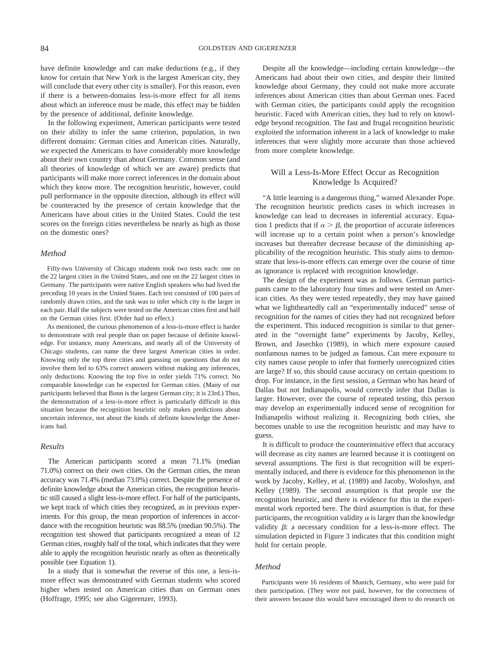have definite knowledge and can make deductions (e.g., if they know for certain that New York is the largest American city, they will conclude that every other city is smaller). For this reason, even if there is a between-domains less-is-more effect for all items about which an inference must be made, this effect may be hidden by the presence of additional, definite knowledge.

In the following experiment, American participants were tested on their ability to infer the same criterion, population, in two different domains: German cities and American cities. Naturally, we expected the Americans to have considerably more knowledge about their own country than about Germany. Common sense (and all theories of knowledge of which we are aware) predicts that participants will make more correct inferences in the domain about which they know more. The recognition heuristic, however, could pull performance in the opposite direction, although its effect will be counteracted by the presence of certain knowledge that the Americans have about cities in the United States. Could the test scores on the foreign cities nevertheless be nearly as high as those on the domestic ones?

# *Method*

Fifty-two University of Chicago students took two tests each: one on the 22 largest cities in the United States, and one on the 22 largest cities in Germany. The participants were native English speakers who had lived the preceding 10 years in the United States. Each test consisted of 100 pairs of randomly drawn cities, and the task was to infer which city is the larger in each pair. Half the subjects were tested on the American cities first and half on the German cities first. (Order had no effect.)

As mentioned, the curious phenomenon of a less-is-more effect is harder to demonstrate with real people than on paper because of definite knowledge. For instance, many Americans, and nearly all of the University of Chicago students, can name the three largest American cities in order. Knowing only the top three cities and guessing on questions that do not involve them led to 63% correct answers without making any inferences, only deductions. Knowing the top five in order yields 71% correct. No comparable knowledge can be expected for German cities. (Many of our participants believed that Bonn is the largest German city; it is 23rd.) Thus, the demonstration of a less-is-more effect is particularly difficult in this situation because the recognition heuristic only makes predictions about uncertain inference, not about the kinds of definite knowledge the Americans had.

#### *Results*

The American participants scored a mean 71.1% (median 71.0%) correct on their own cities. On the German cities, the mean accuracy was 71.4% (median 73.0%) correct. Despite the presence of definite knowledge about the American cities, the recognition heuristic still caused a slight less-is-more effect. For half of the participants, we kept track of which cities they recognized, as in previous experiments. For this group, the mean proportion of inferences in accordance with the recognition heuristic was 88.5% (median 90.5%). The recognition test showed that participants recognized a mean of 12 German cities, roughly half of the total, which indicates that they were able to apply the recognition heuristic nearly as often as theoretically possible (see Equation 1).

In a study that is somewhat the reverse of this one, a less-ismore effect was demonstrated with German students who scored higher when tested on American cities than on German ones (Hoffrage, 1995; see also Gigerenzer, 1993).

Despite all the knowledge—including certain knowledge—the Americans had about their own cities, and despite their limited knowledge about Germany, they could not make more accurate inferences about American cities than about German ones. Faced with German cities, the participants could apply the recognition heuristic. Faced with American cities, they had to rely on knowledge beyond recognition. The fast and frugal recognition heuristic exploited the information inherent in a lack of knowledge to make inferences that were slightly more accurate than those achieved from more complete knowledge.

# Will a Less-Is-More Effect Occur as Recognition Knowledge Is Acquired?

"A little learning is a dangerous thing," warned Alexander Pope. The recognition heuristic predicts cases in which increases in knowledge can lead to decreases in inferential accuracy. Equation 1 predicts that if  $\alpha > \beta$ , the proportion of accurate inferences will increase up to a certain point when a person's knowledge increases but thereafter decrease because of the diminishing applicability of the recognition heuristic. This study aims to demonstrate that less-is-more effects can emerge over the course of time as ignorance is replaced with recognition knowledge.

The design of the experiment was as follows. German participants came to the laboratory four times and were tested on American cities. As they were tested repeatedly, they may have gained what we lightheartedly call an "experimentally induced" sense of recognition for the names of cities they had not recognized before the experiment. This induced recognition is similar to that generated in the "overnight fame" experiments by Jacoby, Kelley, Brown, and Jasechko (1989), in which mere exposure caused nonfamous names to be judged as famous. Can mere exposure to city names cause people to infer that formerly unrecognized cities are large? If so, this should cause accuracy on certain questions to drop. For instance, in the first session, a German who has heard of Dallas but not Indianapolis, would correctly infer that Dallas is larger. However, over the course of repeated testing, this person may develop an experimentally induced sense of recognition for Indianapolis without realizing it. Recognizing both cities, she becomes unable to use the recognition heuristic and may have to guess.

It is difficult to produce the counterintuitive effect that accuracy will decrease as city names are learned because it is contingent on several assumptions. The first is that recognition will be experimentally induced, and there is evidence for this phenomenon in the work by Jacoby, Kelley, et al. (1989) and Jacoby, Woloshyn, and Kelley (1989). The second assumption is that people use the recognition heuristic, and there is evidence for this in the experimental work reported here. The third assumption is that, for these participants, the recognition validity  $\alpha$  is larger than the knowledge validity  $\beta$ : a necessary condition for a less-is-more effect. The simulation depicted in Figure 3 indicates that this condition might hold for certain people.

### *Method*

Participants were 16 residents of Munich, Germany, who were paid for their participation. (They were not paid, however, for the correctness of their answers because this would have encouraged them to do research on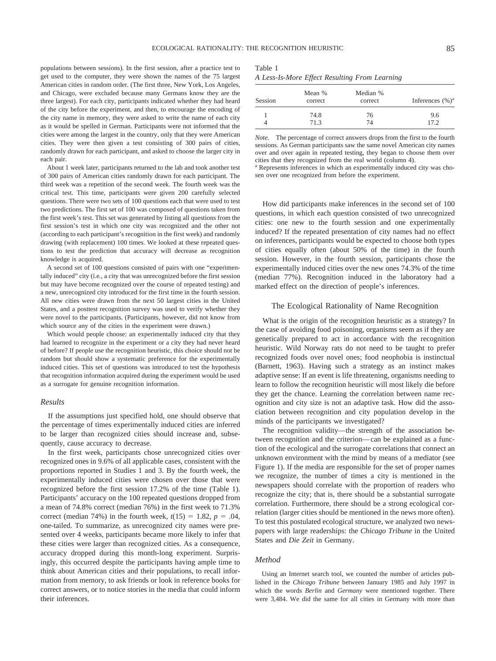populations between sessions). In the first session, after a practice test to get used to the computer, they were shown the names of the 75 largest American cities in random order. (The first three, New York, Los Angeles, and Chicago, were excluded because many Germans know they are the three largest). For each city, participants indicated whether they had heard of the city before the experiment, and then, to encourage the encoding of the city name in memory, they were asked to write the name of each city as it would be spelled in German. Participants were not informed that the cities were among the largest in the country, only that they were American cities. They were then given a test consisting of 300 pairs of cities, randomly drawn for each participant, and asked to choose the larger city in each pair.

About 1 week later, participants returned to the lab and took another test of 300 pairs of American cities randomly drawn for each participant. The third week was a repetition of the second week. The fourth week was the critical test. This time, participants were given 200 carefully selected questions. There were two sets of 100 questions each that were used to test two predictions. The first set of 100 was composed of questions taken from the first week's test. This set was generated by listing all questions from the first session's test in which one city was recognized and the other not (according to each participant's recognition in the first week) and randomly drawing (with replacement) 100 times. We looked at these repeated questions to test the prediction that accuracy will decrease as recognition knowledge is acquired.

A second set of 100 questions consisted of pairs with one "experimentally induced" city (i.e., a city that was unrecognized before the first session but may have become recognized over the course of repeated testing) and a new, unrecognized city introduced for the first time in the fourth session. All new cities were drawn from the next 50 largest cities in the United States, and a posttest recognition survey was used to verify whether they were novel to the participants. (Participants, however, did not know from which source any of the cities in the experiment were drawn.)

Which would people choose: an experimentally induced city that they had learned to recognize in the experiment or a city they had never heard of before? If people use the recognition heuristic, this choice should not be random but should show a systematic preference for the experimentally induced cities. This set of questions was introduced to test the hypothesis that recognition information acquired during the experiment would be used as a surrogate for genuine recognition information.

#### *Results*

If the assumptions just specified hold, one should observe that the percentage of times experimentally induced cities are inferred to be larger than recognized cities should increase and, subsequently, cause accuracy to decrease.

In the first week, participants chose unrecognized cities over recognized ones in 9.6% of all applicable cases, consistent with the proportions reported in Studies 1 and 3. By the fourth week, the experimentally induced cities were chosen over those that were recognized before the first session 17.2% of the time (Table 1). Participants' accuracy on the 100 repeated questions dropped from a mean of 74.8% correct (median 76%) in the first week to 71.3% correct (median 74%) in the fourth week,  $t(15) = 1.82$ ,  $p = .04$ , one-tailed. To summarize, as unrecognized city names were presented over 4 weeks, participants became more likely to infer that these cities were larger than recognized cities. As a consequence, accuracy dropped during this month-long experiment. Surprisingly, this occurred despite the participants having ample time to think about American cities and their populations, to recall information from memory, to ask friends or look in reference books for correct answers, or to notice stories in the media that could inform their inferences.

# Table 1

|  | A Less-Is-More Effect Resulting From Learning |  |  |  |  |
|--|-----------------------------------------------|--|--|--|--|
|--|-----------------------------------------------|--|--|--|--|

| Session | Mean %<br>correct | Median %<br>correct | Inferences $(\% )^a$ |
|---------|-------------------|---------------------|----------------------|
|         | 74.8              | 76                  | 9.6                  |
|         | 71.3              | 74                  | 17.2.                |

*Note.* The percentage of correct answers drops from the first to the fourth sessions. As German participants saw the same novel American city names over and over again in repeated testing, they began to choose them over cities that they recognized from the real world (column 4).

<sup>a</sup> Represents inferences in which an experimentally induced city was chosen over one recognized from before the experiment.

How did participants make inferences in the second set of 100 questions, in which each question consisted of two unrecognized cities: one new to the fourth session and one experimentally induced? If the repeated presentation of city names had no effect on inferences, participants would be expected to choose both types of cities equally often (about 50% of the time) in the fourth session. However, in the fourth session, participants chose the experimentally induced cities over the new ones 74.3% of the time (median 77%). Recognition induced in the laboratory had a marked effect on the direction of people's inferences.

# The Ecological Rationality of Name Recognition

What is the origin of the recognition heuristic as a strategy? In the case of avoiding food poisoning, organisms seem as if they are genetically prepared to act in accordance with the recognition heuristic. Wild Norway rats do not need to be taught to prefer recognized foods over novel ones; food neophobia is instinctual (Barnett, 1963). Having such a strategy as an instinct makes adaptive sense: If an event is life threatening, organisms needing to learn to follow the recognition heuristic will most likely die before they get the chance. Learning the correlation between name recognition and city size is not an adaptive task. How did the association between recognition and city population develop in the minds of the participants we investigated?

The recognition validity—the strength of the association between recognition and the criterion—can be explained as a function of the ecological and the surrogate correlations that connect an unknown environment with the mind by means of a mediator (see Figure 1). If the media are responsible for the set of proper names we recognize, the number of times a city is mentioned in the newspapers should correlate with the proportion of readers who recognize the city; that is, there should be a substantial surrogate correlation. Furthermore, there should be a strong ecological correlation (larger cities should be mentioned in the news more often). To test this postulated ecological structure, we analyzed two newspapers with large readerships: the *Chicago Tribune* in the United States and *Die Zeit* in Germany.

#### *Method*

Using an Internet search tool, we counted the number of articles published in the *Chicago Tribune* between January 1985 and July 1997 in which the words *Berlin* and *Germany* were mentioned together. There were 3,484. We did the same for all cities in Germany with more than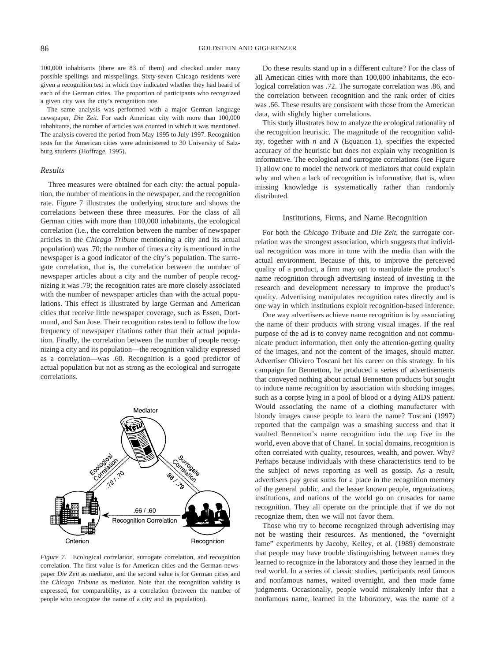100,000 inhabitants (there are 83 of them) and checked under many possible spellings and misspellings. Sixty-seven Chicago residents were given a recognition test in which they indicated whether they had heard of each of the German cities. The proportion of participants who recognized a given city was the city's recognition rate.

The same analysis was performed with a major German language newspaper, *Die Zeit*. For each American city with more than 100,000 inhabitants, the number of articles was counted in which it was mentioned. The analysis covered the period from May 1995 to July 1997. Recognition tests for the American cities were administered to 30 University of Salzburg students (Hoffrage, 1995).

# *Results*

Three measures were obtained for each city: the actual population, the number of mentions in the newspaper, and the recognition rate. Figure 7 illustrates the underlying structure and shows the correlations between these three measures. For the class of all German cities with more than 100,000 inhabitants, the ecological correlation (i.e., the correlation between the number of newspaper articles in the *Chicago Tribune* mentioning a city and its actual population) was .70; the number of times a city is mentioned in the newspaper is a good indicator of the city's population. The surrogate correlation, that is, the correlation between the number of newspaper articles about a city and the number of people recognizing it was .79; the recognition rates are more closely associated with the number of newspaper articles than with the actual populations. This effect is illustrated by large German and American cities that receive little newspaper coverage, such as Essen, Dortmund, and San Jose. Their recognition rates tend to follow the low frequency of newspaper citations rather than their actual population. Finally, the correlation between the number of people recognizing a city and its population—the recognition validity expressed as a correlation—was .60. Recognition is a good predictor of actual population but not as strong as the ecological and surrogate correlations.



*Figure 7.* Ecological correlation, surrogate correlation, and recognition correlation. The first value is for American cities and the German newspaper *Die Zeit* as mediator, and the second value is for German cities and the *Chicago Tribune* as mediator. Note that the recognition validity is expressed, for comparability, as a correlation (between the number of people who recognize the name of a city and its population).

Do these results stand up in a different culture? For the class of all American cities with more than 100,000 inhabitants, the ecological correlation was .72. The surrogate correlation was .86, and the correlation between recognition and the rank order of cities was .66. These results are consistent with those from the American data, with slightly higher correlations.

This study illustrates how to analyze the ecological rationality of the recognition heuristic. The magnitude of the recognition validity, together with *n* and *N* (Equation 1), specifies the expected accuracy of the heuristic but does not explain why recognition is informative. The ecological and surrogate correlations (see Figure 1) allow one to model the network of mediators that could explain why and when a lack of recognition is informative, that is, when missing knowledge is systematically rather than randomly distributed.

# Institutions, Firms, and Name Recognition

For both the *Chicago Tribune* and *Die Zeit*, the surrogate correlation was the strongest association, which suggests that individual recognition was more in tune with the media than with the actual environment. Because of this, to improve the perceived quality of a product, a firm may opt to manipulate the product's name recognition through advertising instead of investing in the research and development necessary to improve the product's quality. Advertising manipulates recognition rates directly and is one way in which institutions exploit recognition-based inference.

One way advertisers achieve name recognition is by associating the name of their products with strong visual images. If the real purpose of the ad is to convey name recognition and not communicate product information, then only the attention-getting quality of the images, and not the content of the images, should matter. Advertiser Oliviero Toscani bet his career on this strategy. In his campaign for Bennetton, he produced a series of advertisements that conveyed nothing about actual Bennetton products but sought to induce name recognition by association with shocking images, such as a corpse lying in a pool of blood or a dying AIDS patient. Would associating the name of a clothing manufacturer with bloody images cause people to learn the name? Toscani (1997) reported that the campaign was a smashing success and that it vaulted Bennetton's name recognition into the top five in the world, even above that of Chanel. In social domains, recognition is often correlated with quality, resources, wealth, and power. Why? Perhaps because individuals with these characteristics tend to be the subject of news reporting as well as gossip. As a result, advertisers pay great sums for a place in the recognition memory of the general public, and the lesser known people, organizations, institutions, and nations of the world go on crusades for name recognition. They all operate on the principle that if we do not recognize them, then we will not favor them.

Those who try to become recognized through advertising may not be wasting their resources. As mentioned, the "overnight fame" experiments by Jacoby, Kelley, et al. (1989) demonstrate that people may have trouble distinguishing between names they learned to recognize in the laboratory and those they learned in the real world. In a series of classic studies, participants read famous and nonfamous names, waited overnight, and then made fame judgments. Occasionally, people would mistakenly infer that a nonfamous name, learned in the laboratory, was the name of a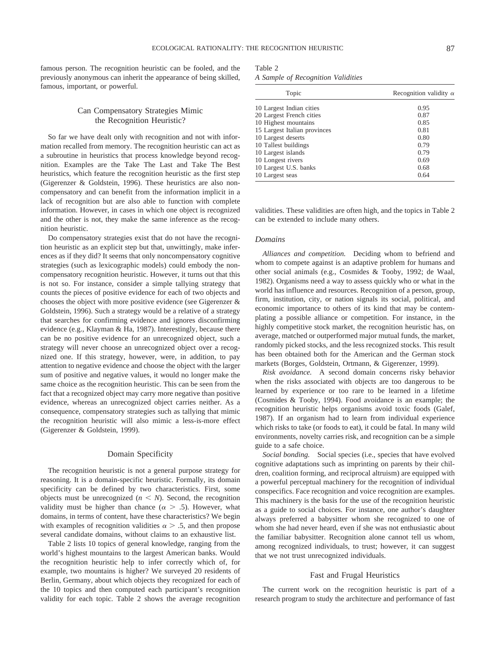famous person. The recognition heuristic can be fooled, and the previously anonymous can inherit the appearance of being skilled, famous, important, or powerful.

# Can Compensatory Strategies Mimic the Recognition Heuristic?

So far we have dealt only with recognition and not with information recalled from memory. The recognition heuristic can act as a subroutine in heuristics that process knowledge beyond recognition. Examples are the Take The Last and Take The Best heuristics, which feature the recognition heuristic as the first step (Gigerenzer & Goldstein, 1996). These heuristics are also noncompensatory and can benefit from the information implicit in a lack of recognition but are also able to function with complete information. However, in cases in which one object is recognized and the other is not, they make the same inference as the recognition heuristic.

Do compensatory strategies exist that do not have the recognition heuristic as an explicit step but that, unwittingly, make inferences as if they did? It seems that only noncompensatory cognitive strategies (such as lexicographic models) could embody the noncompensatory recognition heuristic. However, it turns out that this is not so. For instance, consider a simple tallying strategy that counts the pieces of positive evidence for each of two objects and chooses the object with more positive evidence (see Gigerenzer & Goldstein, 1996). Such a strategy would be a relative of a strategy that searches for confirming evidence and ignores disconfirming evidence (e.g., Klayman & Ha, 1987). Interestingly, because there can be no positive evidence for an unrecognized object, such a strategy will never choose an unrecognized object over a recognized one. If this strategy, however, were, in addition, to pay attention to negative evidence and choose the object with the larger sum of positive and negative values, it would no longer make the same choice as the recognition heuristic. This can be seen from the fact that a recognized object may carry more negative than positive evidence, whereas an unrecognized object carries neither. As a consequence, compensatory strategies such as tallying that mimic the recognition heuristic will also mimic a less-is-more effect (Gigerenzer & Goldstein, 1999).

# Domain Specificity

The recognition heuristic is not a general purpose strategy for reasoning. It is a domain-specific heuristic. Formally, its domain specificity can be defined by two characteristics. First, some objects must be unrecognized  $(n \leq N)$ . Second, the recognition validity must be higher than chance ( $\alpha > .5$ ). However, what domains, in terms of content, have these characteristics? We begin with examples of recognition validities  $\alpha > .5$ , and then propose several candidate domains, without claims to an exhaustive list.

Table 2 lists 10 topics of general knowledge, ranging from the world's highest mountains to the largest American banks. Would the recognition heuristic help to infer correctly which of, for example, two mountains is higher? We surveyed 20 residents of Berlin, Germany, about which objects they recognized for each of the 10 topics and then computed each participant's recognition validity for each topic. Table 2 shows the average recognition

| Table 2 |                                    |  |
|---------|------------------------------------|--|
|         | A Sample of Recognition Validition |  |

|  |  |  |  |  | A Sample of Recognition Valiaities |
|--|--|--|--|--|------------------------------------|
|--|--|--|--|--|------------------------------------|

| Topic                        | Recognition validity $\alpha$ |
|------------------------------|-------------------------------|
| 10 Largest Indian cities     | 0.95                          |
| 20 Largest French cities     | 0.87                          |
| 10 Highest mountains         | 0.85                          |
| 15 Largest Italian provinces | 0.81                          |
| 10 Largest deserts           | 0.80                          |
| 10 Tallest buildings         | 0.79                          |
| 10 Largest islands           | 0.79                          |
| 10 Longest rivers            | 0.69                          |
| 10 Largest U.S. banks        | 0.68                          |
| 10 Largest seas              | 0.64                          |
|                              |                               |

validities. These validities are often high, and the topics in Table 2 can be extended to include many others.

# *Domains*

*Alliances and competition.* Deciding whom to befriend and whom to compete against is an adaptive problem for humans and other social animals (e.g., Cosmides & Tooby, 1992; de Waal, 1982). Organisms need a way to assess quickly who or what in the world has influence and resources. Recognition of a person, group, firm, institution, city, or nation signals its social, political, and economic importance to others of its kind that may be contemplating a possible alliance or competition. For instance, in the highly competitive stock market, the recognition heuristic has, on average, matched or outperformed major mutual funds, the market, randomly picked stocks, and the less recognized stocks. This result has been obtained both for the American and the German stock markets (Borges, Goldstein, Ortmann, & Gigerenzer, 1999).

*Risk avoidance.* A second domain concerns risky behavior when the risks associated with objects are too dangerous to be learned by experience or too rare to be learned in a lifetime (Cosmides & Tooby, 1994). Food avoidance is an example; the recognition heuristic helps organisms avoid toxic foods (Galef, 1987). If an organism had to learn from individual experience which risks to take (or foods to eat), it could be fatal. In many wild environments, novelty carries risk, and recognition can be a simple guide to a safe choice.

*Social bonding.* Social species (i.e., species that have evolved cognitive adaptations such as imprinting on parents by their children, coalition forming, and reciprocal altruism) are equipped with a powerful perceptual machinery for the recognition of individual conspecifics. Face recognition and voice recognition are examples. This machinery is the basis for the use of the recognition heuristic as a guide to social choices. For instance, one author's daughter always preferred a babysitter whom she recognized to one of whom she had never heard, even if she was not enthusiastic about the familiar babysitter. Recognition alone cannot tell us whom, among recognized individuals, to trust; however, it can suggest that we not trust unrecognized individuals.

# Fast and Frugal Heuristics

The current work on the recognition heuristic is part of a research program to study the architecture and performance of fast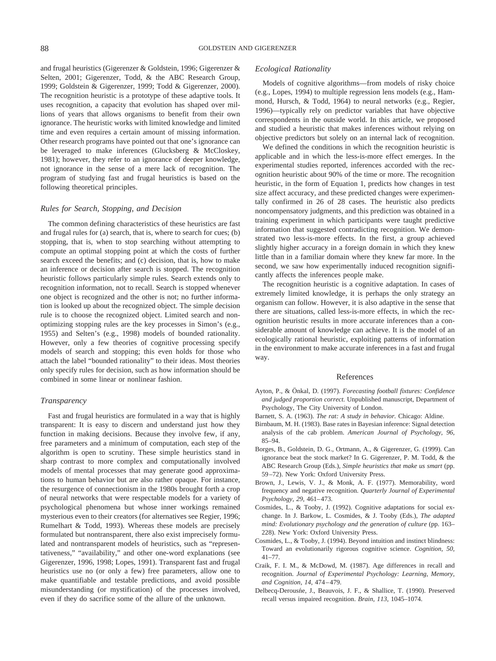and frugal heuristics (Gigerenzer & Goldstein, 1996; Gigerenzer & Selten, 2001; Gigerenzer, Todd, & the ABC Research Group, 1999; Goldstein & Gigerenzer, 1999; Todd & Gigerenzer, 2000). The recognition heuristic is a prototype of these adaptive tools. It uses recognition, a capacity that evolution has shaped over millions of years that allows organisms to benefit from their own ignorance. The heuristic works with limited knowledge and limited time and even requires a certain amount of missing information. Other research programs have pointed out that one's ignorance can be leveraged to make inferences (Glucksberg & McCloskey, 1981); however, they refer to an ignorance of deeper knowledge, not ignorance in the sense of a mere lack of recognition. The program of studying fast and frugal heuristics is based on the following theoretical principles.

### *Rules for Search, Stopping, and Decision*

The common defining characteristics of these heuristics are fast and frugal rules for (a) search, that is, where to search for cues; (b) stopping, that is, when to stop searching without attempting to compute an optimal stopping point at which the costs of further search exceed the benefits; and (c) decision, that is, how to make an inference or decision after search is stopped. The recognition heuristic follows particularly simple rules. Search extends only to recognition information, not to recall. Search is stopped whenever one object is recognized and the other is not; no further information is looked up about the recognized object. The simple decision rule is to choose the recognized object. Limited search and nonoptimizing stopping rules are the key processes in Simon's (e.g., 1955) and Selten's (e.g., 1998) models of bounded rationality. However, only a few theories of cognitive processing specify models of search and stopping; this even holds for those who attach the label "bounded rationality" to their ideas. Most theories only specify rules for decision, such as how information should be combined in some linear or nonlinear fashion.

# *Transparency*

Fast and frugal heuristics are formulated in a way that is highly transparent: It is easy to discern and understand just how they function in making decisions. Because they involve few, if any, free parameters and a minimum of computation, each step of the algorithm is open to scrutiny. These simple heuristics stand in sharp contrast to more complex and computationally involved models of mental processes that may generate good approximations to human behavior but are also rather opaque. For instance, the resurgence of connectionism in the 1980s brought forth a crop of neural networks that were respectable models for a variety of psychological phenomena but whose inner workings remained mysterious even to their creators (for alternatives see Regier, 1996; Rumelhart & Todd, 1993). Whereas these models are precisely formulated but nontransparent, there also exist imprecisely formulated and nontransparent models of heuristics, such as "representativeness," "availability," and other one-word explanations (see Gigerenzer, 1996, 1998; Lopes, 1991). Transparent fast and frugal heuristics use no (or only a few) free parameters, allow one to make quantifiable and testable predictions, and avoid possible misunderstanding (or mystification) of the processes involved, even if they do sacrifice some of the allure of the unknown.

#### *Ecological Rationality*

Models of cognitive algorithms—from models of risky choice (e.g., Lopes, 1994) to multiple regression lens models (e.g., Hammond, Hursch, & Todd, 1964) to neural networks (e.g., Regier, 1996)—typically rely on predictor variables that have objective correspondents in the outside world. In this article, we proposed and studied a heuristic that makes inferences without relying on objective predictors but solely on an internal lack of recognition.

We defined the conditions in which the recognition heuristic is applicable and in which the less-is-more effect emerges. In the experimental studies reported, inferences accorded with the recognition heuristic about 90% of the time or more. The recognition heuristic, in the form of Equation 1, predicts how changes in test size affect accuracy, and these predicted changes were experimentally confirmed in 26 of 28 cases. The heuristic also predicts noncompensatory judgments, and this prediction was obtained in a training experiment in which participants were taught predictive information that suggested contradicting recognition. We demonstrated two less-is-more effects. In the first, a group achieved slightly higher accuracy in a foreign domain in which they knew little than in a familiar domain where they knew far more. In the second, we saw how experimentally induced recognition significantly affects the inferences people make.

The recognition heuristic is a cognitive adaptation. In cases of extremely limited knowledge, it is perhaps the only strategy an organism can follow. However, it is also adaptive in the sense that there are situations, called less-is-more effects, in which the recognition heuristic results in more accurate inferences than a considerable amount of knowledge can achieve. It is the model of an ecologically rational heuristic, exploiting patterns of information in the environment to make accurate inferences in a fast and frugal way.

### References

- Ayton, P., & Önkal, D. (1997). *Forecasting football fixtures: Confidence and judged proportion correct.* Unpublished manuscript, Department of Psychology, The City University of London.
- Barnett, S. A. (1963). *The rat: A study in behavior.* Chicago: Aldine.
- Birnbaum, M. H. (1983). Base rates in Bayesian inference: Signal detection analysis of the cab problem. *American Journal of Psychology, 96,* 85–94.
- Borges, B., Goldstein, D. G., Ortmann, A., & Gigerenzer, G. (1999). Can ignorance beat the stock market? In G. Gigerenzer, P. M. Todd, & the ABC Research Group (Eds.), *Simple heuristics that make us smart* (pp. 59–72). New York: Oxford University Press.
- Brown, J., Lewis, V. J., & Monk, A. F. (1977). Memorability, word frequency and negative recognition. *Quarterly Journal of Experimental Psychology, 29,* 461–473.
- Cosmides, L., & Tooby, J. (1992). Cognitive adaptations for social exchange. In J. Barkow, L. Cosmides, & J. Tooby (Eds.), *The adapted mind: Evolutionary psychology and the generation of culture* (pp. 163– 228). New York: Oxford University Press.
- Cosmides, L., & Tooby, J. (1994). Beyond intuition and instinct blindness: Toward an evolutionarily rigorous cognitive science. *Cognition, 50,* 41–77.
- Craik, F. I. M., & McDowd, M. (1987). Age differences in recall and recognition. *Journal of Experimental Psychology: Learning, Memory, and Cognition, 14,* 474–479.
- Delbecq-Derousne, J., Beauvois, J. F., & Shallice, T. (1990). Preserved recall versus impaired recognition. *Brain, 113,* 1045–1074.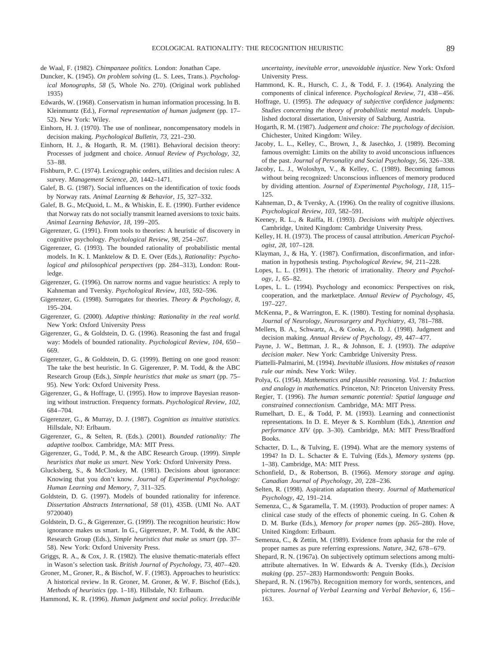- de Waal, F. (1982). *Chimpanzee politics.* London: Jonathan Cape.
- Duncker, K. (1945). *On problem solving* (L. S. Lees, Trans.). *Psychological Monographs, 58* (5, Whole No. 270). (Original work published 1935)
- Edwards, W. (1968). Conservatism in human information processing. In B. Kleinmuntz (Ed.), *Formal representation of human judgment* (pp. 17– 52). New York: Wiley.
- Einhorn, H. J. (1970). The use of nonlinear, noncompensatory models in decision making. *Psychological Bulletin, 73,* 221–230.
- Einhorn, H. J., & Hogarth, R. M. (1981). Behavioral decision theory: Processes of judgment and choice. *Annual Review of Psychology, 32,* 53–88.
- Fishburn, P. C. (1974). Lexicographic orders, utilities and decision rules: A survey. *Management Science, 20,* 1442–1471.
- Galef, B. G. (1987). Social influences on the identification of toxic foods by Norway rats. *Animal Learning & Behavior, 15,* 327–332.
- Galef, B. G., McQuoid, L. M., & Whiskin, E. E. (1990). Further evidence that Norway rats do not socially transmit learned aversions to toxic baits. *Animal Learning Behavior, 18,* 199–205.
- Gigerenzer, G. (1991). From tools to theories: A heuristic of discovery in cognitive psychology. *Psychological Review, 98,* 254–267.
- Gigerenzer, G. (1993). The bounded rationality of probabilistic mental models. In K. I. Manktelow & D. E. Over (Eds.), *Rationality: Psychological and philosophical perspectives* (pp. 284–313), London: Routledge.
- Gigerenzer, G. (1996). On narrow norms and vague heuristics: A reply to Kahneman and Tversky. *Psychological Review, 103,* 592–596.
- Gigerenzer, G. (1998). Surrogates for theories. *Theory & Psychology, 8,* 195–204.
- Gigerenzer, G. (2000). *Adaptive thinking: Rationality in the real world.* New York: Oxford University Press
- Gigerenzer, G., & Goldstein, D. G. (1996). Reasoning the fast and frugal way: Models of bounded rationality. *Psychological Review, 104,* 650– 669.
- Gigerenzer, G., & Goldstein, D. G. (1999). Betting on one good reason: The take the best heuristic. In G. Gigerenzer, P. M. Todd, & the ABC Research Group (Eds.), *Simple heuristics that make us smart* (pp. 75– 95). New York: Oxford University Press.
- Gigerenzer, G., & Hoffrage, U. (1995). How to improve Bayesian reasoning without instruction. Frequency formats. *Psychological Review, 102,* 684–704.
- Gigerenzer, G., & Murray, D. J. (1987). *Cognition as intuitive statistics.* Hillsdale, NJ: Erlbaum.
- Gigerenzer, G., & Selten, R. (Eds.). (2001). *Bounded rationality: The adaptive toolbox.* Cambridge, MA: MIT Press.
- Gigerenzer, G., Todd, P. M., & the ABC Research Group. (1999). *Simple heuristics that make us smart.* New York: Oxford University Press.
- Glucksberg, S., & McCloskey, M. (1981). Decisions about ignorance: Knowing that you don't know. *Journal of Experimental Psychology: Human Learning and Memory, 7,* 311–325.
- Goldstein, D. G. (1997). Models of bounded rationality for inference. *Dissertation Abstracts International, 58* (01), 435B. (UMI No. AAT 9720040)
- Goldstein, D. G., & Gigerenzer, G. (1999). The recognition heuristic: How ignorance makes us smart. In G., Gigerenzer, P. M. Todd, & the ABC Research Group (Eds.), *Simple heuristics that make us smart* (pp. 37– 58). New York: Oxford University Press.
- Griggs, R. A., & Cox, J. R. (1982). The elusive thematic-materials effect in Wason's selection task. *British Journal of Psychology, 73,* 407–420.
- Groner, M., Groner, R., & Bischof, W. F. (1983). Approaches to heuristics: A historical review. In R. Groner, M. Groner, & W. F. Bischof (Eds.), *Methods of heuristics* (pp. 1–18). Hillsdale, NJ: Erlbaum.
- Hammond, K. R. (1996). *Human judgment and social policy. Irreducible*

*uncertainty, inevitable error, unavoidable injustice.* New York: Oxford University Press.

- Hammond, K. R., Hursch, C. J., & Todd, F. J. (1964). Analyzing the components of clinical inference. *Psychological Review, 71,* 438–456.
- Hoffrage, U. (1995). *The adequacy of subjective confidence judgments: Studies concerning the theory of probabilistic mental models.* Unpublished doctoral dissertation, University of Salzburg, Austria.
- Hogarth, R. M. (1987). *Judgement and choice: The psychology of decision.* Chichester, United Kingdom: Wiley.
- Jacoby, L. L., Kelley, C., Brown, J., & Jasechko, J. (1989). Becoming famous overnight: Limits on the ability to avoid unconscious influences of the past. *Journal of Personality and Social Psychology, 56,* 326–338.
- Jacoby, L. J., Woloshyn, V., & Kelley, C. (1989). Becoming famous without being recognized: Unconscious influences of memory produced by dividing attention. *Journal of Experimental Psychology, 118,* 115– 125.
- Kahneman, D., & Tversky, A. (1996). On the reality of cognitive illusions. *Psychological Review, 103,* 582–591.
- Keeney, R. L., & Raiffa, H. (1993). *Decisions with multiple objectives.* Cambridge, United Kingdom: Cambridge University Press.
- Kelley, H. H. (1973). The process of causal attribution. *American Psychologist, 28,* 107–128.
- Klayman, J., & Ha, Y. (1987). Confirmation, disconfirmation, and information in hypothesis testing. *Psychological Review, 94,* 211–228.
- Lopes, L. L. (1991). The rhetoric of irrationality. *Theory and Psychology, 1,* 65–82.
- Lopes, L. L. (1994). Psychology and economics: Perspectives on risk, cooperation, and the marketplace. *Annual Review of Psychology, 45,* 197–227.
- McKenna, P., & Warrington, E. K. (1980). Testing for nominal dysphasia. *Journal of Neurology, Neurosurgery and Psychiatry, 43,* 781–788.
- Mellers, B. A., Schwartz, A., & Cooke, A. D. J. (1998). Judgment and decision making. *Annual Review of Psychology, 49,* 447–477.
- Payne, J. W., Bettman, J. R., & Johnson, E. J. (1993). *The adaptive decision maker.* New York: Cambridge University Press.
- Piattelli-Palmarini, M. (1994). *Inevitable illusions. How mistakes of reason rule our minds.* New York: Wiley.
- Polya, G. (1954). *Mathematics and plausible reasoning. Vol. 1: Induction and analogy in mathematics.* Princeton, NJ: Princeton University Press.
- Regier, T. (1996). *The human semantic potential: Spatial language and constrained connectionism.* Cambridge, MA: MIT Press.
- Rumelhart, D. E., & Todd, P. M. (1993). Learning and connectionist representations. In D. E. Meyer & S. Kornblum (Eds.), *Attention and performance XIV* (pp. 3–30). Cambridge, MA: MIT Press/Bradford Books.
- Schacter, D. L., & Tulving, E. (1994). What are the memory systems of 1994? In D. L. Schacter & E. Tulving (Eds.), *Memory systems* (pp. 1–38). Cambridge, MA: MIT Press.
- Schonfield, D., & Robertson, B. (1966). *Memory storage and aging. Canadian Journal of Psychology, 20,* 228–236.
- Selten, R. (1998). Aspiration adaptation theory. *Journal of Mathematical Psychology, 42,* 191–214.
- Semenza, C., & Sgaramella, T. M. (1993). Production of proper names: A clinical case study of the effects of phonemic cueing. In G. Cohen & D. M. Burke (Eds.), *Memory for proper names* (pp. 265–280). Hove, United Kingdom: Erlbaum.
- Semenza, C., & Zettin, M. (1989). Evidence from aphasia for the role of proper names as pure referring expressions. *Nature, 342,* 678–679.
- Shepard, R. N. (1967a). On subjectively optimum selections among multiattribute alternatives. In W. Edwards & A. Tversky (Eds.), *Decision making* (pp. 257–283) Harmondsworth: Penguin Books.
- Shepard, R. N. (1967b). Recognition memory for words, sentences, and pictures. *Journal of Verbal Learning and Verbal Behavior, 6,* 156 – 163.